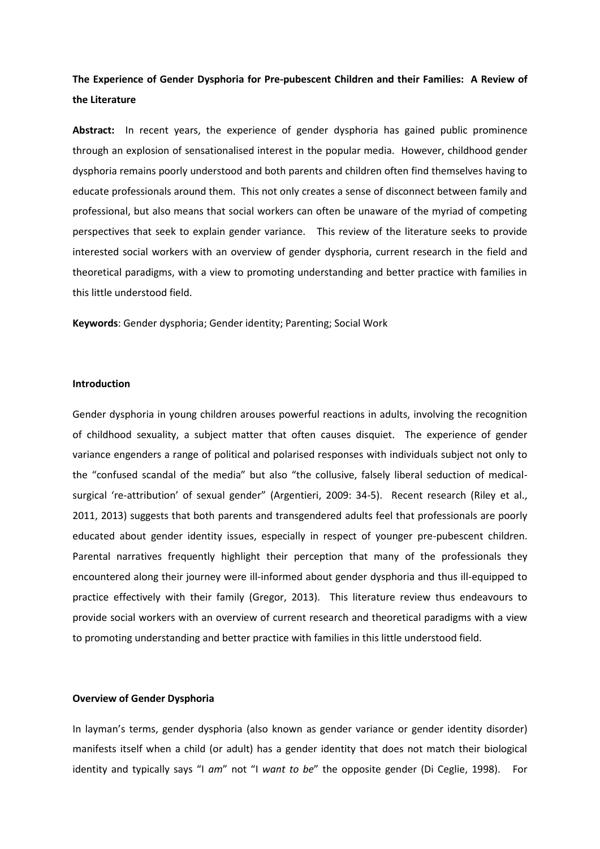# **The Experience of Gender Dysphoria for Pre-pubescent Children and their Families: A Review of the Literature**

**Abstract:** In recent years, the experience of gender dysphoria has gained public prominence through an explosion of sensationalised interest in the popular media. However, childhood gender dysphoria remains poorly understood and both parents and children often find themselves having to educate professionals around them. This not only creates a sense of disconnect between family and professional, but also means that social workers can often be unaware of the myriad of competing perspectives that seek to explain gender variance. This review of the literature seeks to provide interested social workers with an overview of gender dysphoria, current research in the field and theoretical paradigms, with a view to promoting understanding and better practice with families in this little understood field.

**Keywords**: Gender dysphoria; Gender identity; Parenting; Social Work

#### **Introduction**

Gender dysphoria in young children arouses powerful reactions in adults, involving the recognition of childhood sexuality, a subject matter that often causes disquiet. The experience of gender variance engenders a range of political and polarised responses with individuals subject not only to the "confused scandal of the media" but also "the collusive, falsely liberal seduction of medicalsurgical 're-attribution' of sexual gender" (Argentieri, 2009: 34-5). Recent research (Riley et al., 2011, 2013) suggests that both parents and transgendered adults feel that professionals are poorly educated about gender identity issues, especially in respect of younger pre-pubescent children. Parental narratives frequently highlight their perception that many of the professionals they encountered along their journey were ill-informed about gender dysphoria and thus ill-equipped to practice effectively with their family (Gregor, 2013). This literature review thus endeavours to provide social workers with an overview of current research and theoretical paradigms with a view to promoting understanding and better practice with families in this little understood field.

### **Overview of Gender Dysphoria**

In layman's terms, gender dysphoria (also known as gender variance or gender identity disorder) manifests itself when a child (or adult) has a gender identity that does not match their biological identity and typically says "I *am*" not "I *want to be*" the opposite gender (Di Ceglie, 1998). For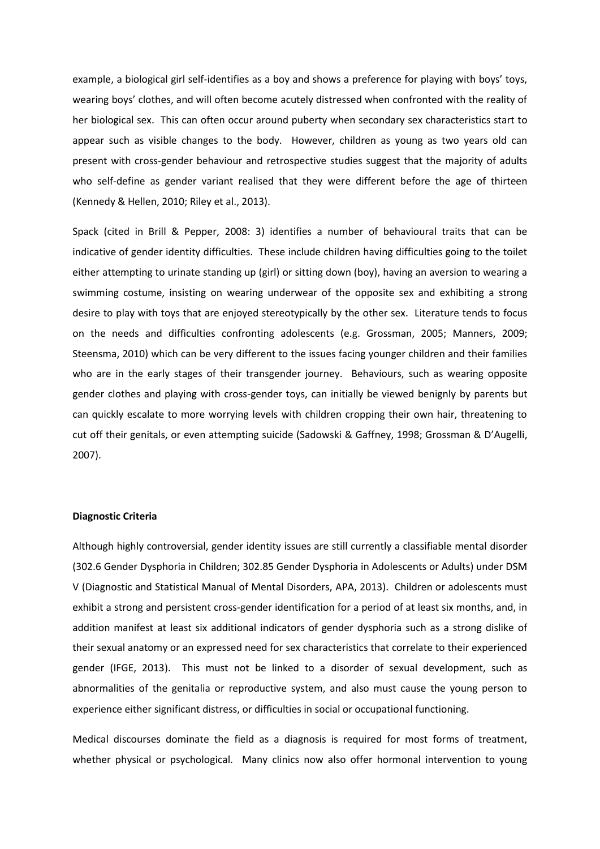example, a biological girl self-identifies as a boy and shows a preference for playing with boys' toys, wearing boys' clothes, and will often become acutely distressed when confronted with the reality of her biological sex. This can often occur around puberty when secondary sex characteristics start to appear such as visible changes to the body. However, children as young as two years old can present with cross-gender behaviour and retrospective studies suggest that the majority of adults who self-define as gender variant realised that they were different before the age of thirteen (Kennedy & Hellen, 2010; Riley et al., 2013).

Spack (cited in Brill & Pepper, 2008: 3) identifies a number of behavioural traits that can be indicative of gender identity difficulties. These include children having difficulties going to the toilet either attempting to urinate standing up (girl) or sitting down (boy), having an aversion to wearing a swimming costume, insisting on wearing underwear of the opposite sex and exhibiting a strong desire to play with toys that are enjoyed stereotypically by the other sex. Literature tends to focus on the needs and difficulties confronting adolescents (e.g. Grossman, 2005; Manners, 2009; Steensma, 2010) which can be very different to the issues facing younger children and their families who are in the early stages of their transgender journey. Behaviours, such as wearing opposite gender clothes and playing with cross-gender toys, can initially be viewed benignly by parents but can quickly escalate to more worrying levels with children cropping their own hair, threatening to cut off their genitals, or even attempting suicide (Sadowski & Gaffney, 1998; Grossman & D'Augelli, 2007).

## **Diagnostic Criteria**

Although highly controversial, gender identity issues are still currently a classifiable mental disorder (302.6 Gender Dysphoria in Children; 302.85 Gender Dysphoria in Adolescents or Adults) under DSM V (Diagnostic and Statistical Manual of Mental Disorders, APA, 2013). Children or adolescents must exhibit a strong and persistent cross-gender identification for a period of at least six months, and, in addition manifest at least six additional indicators of gender dysphoria such as a strong dislike of their sexual anatomy or an expressed need for sex characteristics that correlate to their experienced gender (IFGE, 2013). This must not be linked to a disorder of sexual development, such as abnormalities of the genitalia or reproductive system, and also must cause the young person to experience either significant distress, or difficulties in social or occupational functioning.

Medical discourses dominate the field as a diagnosis is required for most forms of treatment, whether physical or psychological. Many clinics now also offer hormonal intervention to young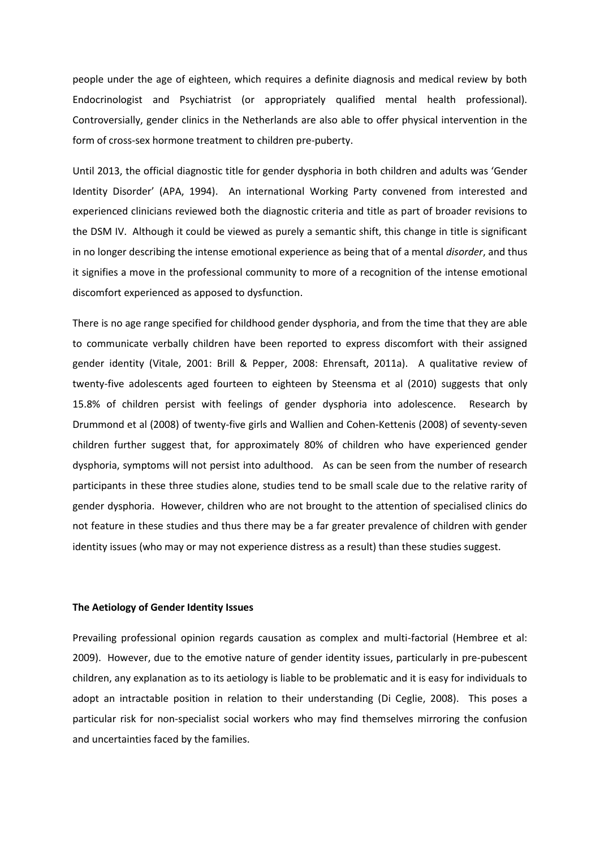people under the age of eighteen, which requires a definite diagnosis and medical review by both Endocrinologist and Psychiatrist (or appropriately qualified mental health professional). Controversially, gender clinics in the Netherlands are also able to offer physical intervention in the form of cross-sex hormone treatment to children pre-puberty.

Until 2013, the official diagnostic title for gender dysphoria in both children and adults was 'Gender Identity Disorder' (APA, 1994). An international Working Party convened from interested and experienced clinicians reviewed both the diagnostic criteria and title as part of broader revisions to the DSM IV. Although it could be viewed as purely a semantic shift, this change in title is significant in no longer describing the intense emotional experience as being that of a mental *disorder*, and thus it signifies a move in the professional community to more of a recognition of the intense emotional discomfort experienced as apposed to dysfunction.

There is no age range specified for childhood gender dysphoria, and from the time that they are able to communicate verbally children have been reported to express discomfort with their assigned gender identity (Vitale, 2001: Brill & Pepper, 2008: Ehrensaft, 2011a). A qualitative review of twenty-five adolescents aged fourteen to eighteen by Steensma et al (2010) suggests that only 15.8% of children persist with feelings of gender dysphoria into adolescence. Research by Drummond et al (2008) of twenty-five girls and Wallien and Cohen-Kettenis (2008) of seventy-seven children further suggest that, for approximately 80% of children who have experienced gender dysphoria, symptoms will not persist into adulthood. As can be seen from the number of research participants in these three studies alone, studies tend to be small scale due to the relative rarity of gender dysphoria. However, children who are not brought to the attention of specialised clinics do not feature in these studies and thus there may be a far greater prevalence of children with gender identity issues (who may or may not experience distress as a result) than these studies suggest.

### **The Aetiology of Gender Identity Issues**

Prevailing professional opinion regards causation as complex and multi-factorial (Hembree et al: 2009). However, due to the emotive nature of gender identity issues, particularly in pre-pubescent children, any explanation as to its aetiology is liable to be problematic and it is easy for individuals to adopt an intractable position in relation to their understanding (Di Ceglie, 2008). This poses a particular risk for non-specialist social workers who may find themselves mirroring the confusion and uncertainties faced by the families.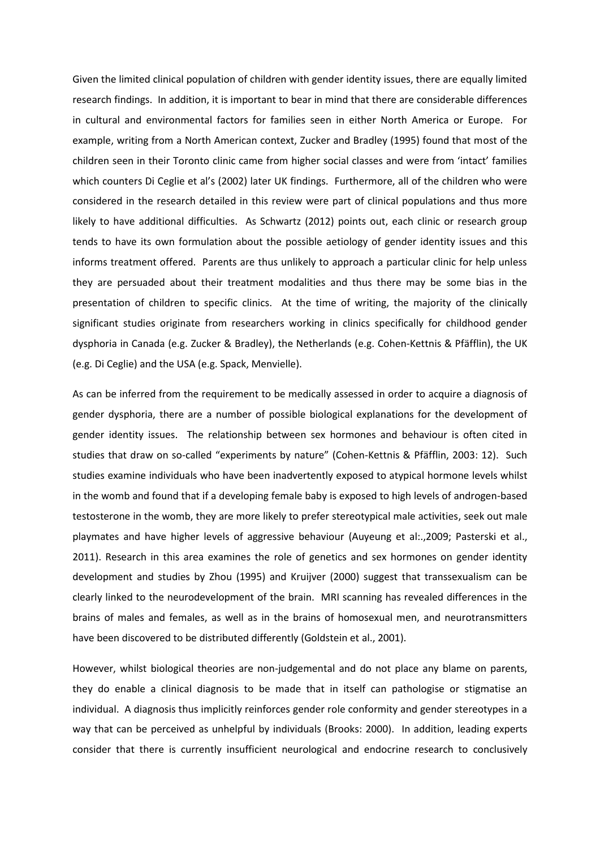Given the limited clinical population of children with gender identity issues, there are equally limited research findings. In addition, it is important to bear in mind that there are considerable differences in cultural and environmental factors for families seen in either North America or Europe. For example, writing from a North American context, Zucker and Bradley (1995) found that most of the children seen in their Toronto clinic came from higher social classes and were from 'intact' families which counters Di Ceglie et al's (2002) later UK findings. Furthermore, all of the children who were considered in the research detailed in this review were part of clinical populations and thus more likely to have additional difficulties. As Schwartz (2012) points out, each clinic or research group tends to have its own formulation about the possible aetiology of gender identity issues and this informs treatment offered. Parents are thus unlikely to approach a particular clinic for help unless they are persuaded about their treatment modalities and thus there may be some bias in the presentation of children to specific clinics. At the time of writing, the majority of the clinically significant studies originate from researchers working in clinics specifically for childhood gender dysphoria in Canada (e.g. Zucker & Bradley), the Netherlands (e.g. Cohen-Kettnis & Pfäfflin), the UK (e.g. Di Ceglie) and the USA (e.g. Spack, Menvielle).

As can be inferred from the requirement to be medically assessed in order to acquire a diagnosis of gender dysphoria, there are a number of possible biological explanations for the development of gender identity issues. The relationship between sex hormones and behaviour is often cited in studies that draw on so-called "experiments by nature" (Cohen-Kettnis & Pfäfflin, 2003: 12). Such studies examine individuals who have been inadvertently exposed to atypical hormone levels whilst in the womb and found that if a developing female baby is exposed to high levels of androgen-based testosterone in the womb, they are more likely to prefer stereotypical male activities, seek out male playmates and have higher levels of aggressive behaviour (Auyeung et al:.,2009; Pasterski et al., 2011). Research in this area examines the role of genetics and sex hormones on gender identity development and studies by Zhou (1995) and Kruijver (2000) suggest that transsexualism can be clearly linked to the neurodevelopment of the brain. MRI scanning has revealed differences in the brains of males and females, as well as in the brains of homosexual men, and neurotransmitters have been discovered to be distributed differently (Goldstein et al., 2001).

However, whilst biological theories are non-judgemental and do not place any blame on parents, they do enable a clinical diagnosis to be made that in itself can pathologise or stigmatise an individual. A diagnosis thus implicitly reinforces gender role conformity and gender stereotypes in a way that can be perceived as unhelpful by individuals (Brooks: 2000). In addition, leading experts consider that there is currently insufficient neurological and endocrine research to conclusively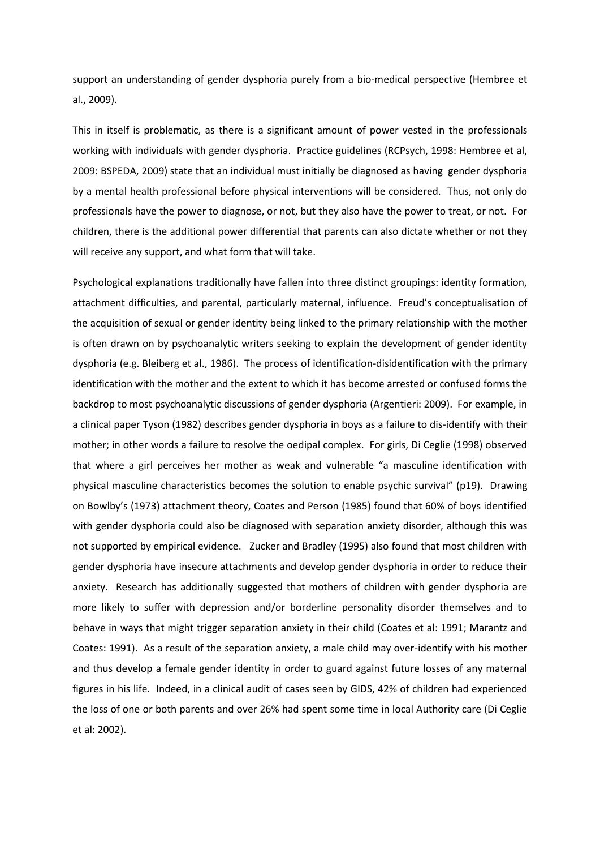support an understanding of gender dysphoria purely from a bio-medical perspective (Hembree et al., 2009).

This in itself is problematic, as there is a significant amount of power vested in the professionals working with individuals with gender dysphoria. Practice guidelines (RCPsych, 1998: Hembree et al, 2009: BSPEDA, 2009) state that an individual must initially be diagnosed as having gender dysphoria by a mental health professional before physical interventions will be considered. Thus, not only do professionals have the power to diagnose, or not, but they also have the power to treat, or not. For children, there is the additional power differential that parents can also dictate whether or not they will receive any support, and what form that will take.

Psychological explanations traditionally have fallen into three distinct groupings: identity formation, attachment difficulties, and parental, particularly maternal, influence. Freud's conceptualisation of the acquisition of sexual or gender identity being linked to the primary relationship with the mother is often drawn on by psychoanalytic writers seeking to explain the development of gender identity dysphoria (e.g. Bleiberg et al., 1986). The process of identification-disidentification with the primary identification with the mother and the extent to which it has become arrested or confused forms the backdrop to most psychoanalytic discussions of gender dysphoria (Argentieri: 2009). For example, in a clinical paper Tyson (1982) describes gender dysphoria in boys as a failure to dis-identify with their mother; in other words a failure to resolve the oedipal complex. For girls, Di Ceglie (1998) observed that where a girl perceives her mother as weak and vulnerable "a masculine identification with physical masculine characteristics becomes the solution to enable psychic survival" (p19). Drawing on Bowlby's (1973) attachment theory, Coates and Person (1985) found that 60% of boys identified with gender dysphoria could also be diagnosed with separation anxiety disorder, although this was not supported by empirical evidence. Zucker and Bradley (1995) also found that most children with gender dysphoria have insecure attachments and develop gender dysphoria in order to reduce their anxiety. Research has additionally suggested that mothers of children with gender dysphoria are more likely to suffer with depression and/or borderline personality disorder themselves and to behave in ways that might trigger separation anxiety in their child (Coates et al: 1991; Marantz and Coates: 1991). As a result of the separation anxiety, a male child may over-identify with his mother and thus develop a female gender identity in order to guard against future losses of any maternal figures in his life. Indeed, in a clinical audit of cases seen by GIDS, 42% of children had experienced the loss of one or both parents and over 26% had spent some time in local Authority care (Di Ceglie et al: 2002).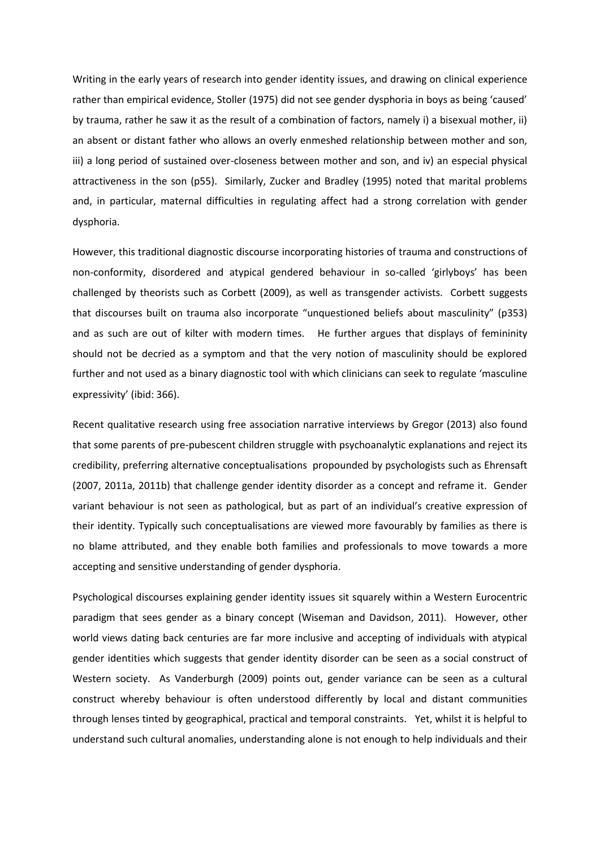Writing in the early years of research into gender identity issues, and drawing on clinical experience rather than empirical evidence, Stoller (1975) did not see gender dysphoria in boys as being 'caused' by trauma, rather he saw it as the result of a combination of factors, namely i) a bisexual mother, ii) an absent or distant father who allows an overly enmeshed relationship between mother and son, iii) a long period of sustained over-closeness between mother and son, and iv) an especial physical attractiveness in the son (p55). Similarly, Zucker and Bradley (1995) noted that marital problems and, in particular, maternal difficulties in regulating affect had a strong correlation with gender dysphoria.

However, this traditional diagnostic discourse incorporating histories of trauma and constructions of non-conformity, disordered and atypical gendered behaviour in so-called 'girlyboys' has been challenged by theorists such as Corbett (2009), as well as transgender activists. Corbett suggests that discourses built on trauma also incorporate "unquestioned beliefs about masculinity" (p353) and as such are out of kilter with modern times. He further argues that displays of femininity should not be decried as a symptom and that the very notion of masculinity should be explored further and not used as a binary diagnostic tool with which clinicians can seek to regulate 'masculine expressivity' (ibid: 366).

Recent qualitative research using free association narrative interviews by Gregor (2013) also found that some parents of pre-pubescent children struggle with psychoanalytic explanations and reject its credibility, preferring alternative conceptualisations propounded by psychologists such as Ehrensaft (2007, 2011a, 2011b) that challenge gender identity disorder as a concept and reframe it. Gender variant behaviour is not seen as pathological, but as part of an individual's creative expression of their identity. Typically such conceptualisations are viewed more favourably by families as there is no blame attributed, and they enable both families and professionals to move towards a more accepting and sensitive understanding of gender dysphoria.

Psychological discourses explaining gender identity issues sit squarely within a Western Eurocentric paradigm that sees gender as a binary concept (Wiseman and Davidson, 2011). However, other world views dating back centuries are far more inclusive and accepting of individuals with atypical gender identities which suggests that gender identity disorder can be seen as a social construct of Western society. As Vanderburgh (2009) points out, gender variance can be seen as a cultural construct whereby behaviour is often understood differently by local and distant communities through lenses tinted by geographical, practical and temporal constraints. Yet, whilst it is helpful to understand such cultural anomalies, understanding alone is not enough to help individuals and their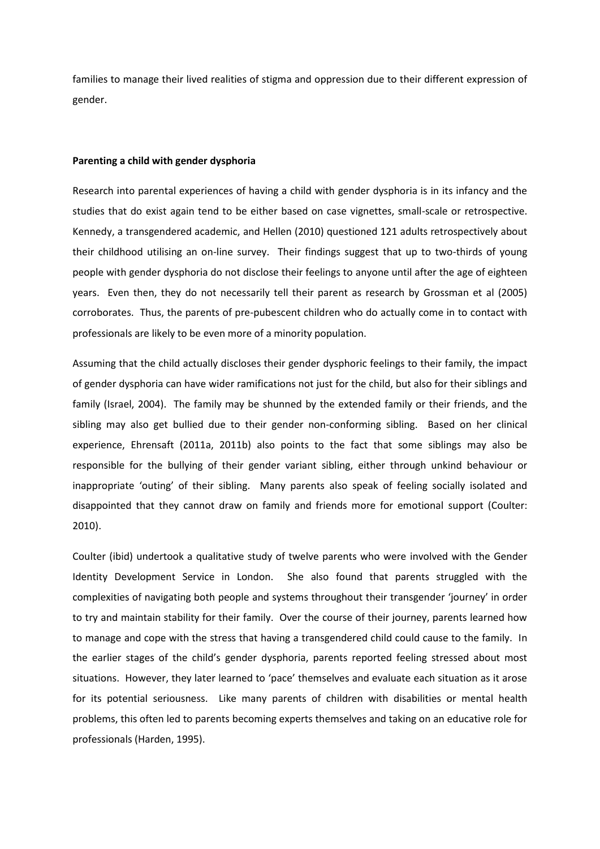families to manage their lived realities of stigma and oppression due to their different expression of gender.

### **Parenting a child with gender dysphoria**

Research into parental experiences of having a child with gender dysphoria is in its infancy and the studies that do exist again tend to be either based on case vignettes, small-scale or retrospective. Kennedy, a transgendered academic, and Hellen (2010) questioned 121 adults retrospectively about their childhood utilising an on-line survey. Their findings suggest that up to two-thirds of young people with gender dysphoria do not disclose their feelings to anyone until after the age of eighteen years. Even then, they do not necessarily tell their parent as research by Grossman et al (2005) corroborates. Thus, the parents of pre-pubescent children who do actually come in to contact with professionals are likely to be even more of a minority population.

Assuming that the child actually discloses their gender dysphoric feelings to their family, the impact of gender dysphoria can have wider ramifications not just for the child, but also for their siblings and family (Israel, 2004). The family may be shunned by the extended family or their friends, and the sibling may also get bullied due to their gender non-conforming sibling. Based on her clinical experience, Ehrensaft (2011a, 2011b) also points to the fact that some siblings may also be responsible for the bullying of their gender variant sibling, either through unkind behaviour or inappropriate 'outing' of their sibling. Many parents also speak of feeling socially isolated and disappointed that they cannot draw on family and friends more for emotional support (Coulter: 2010).

Coulter (ibid) undertook a qualitative study of twelve parents who were involved with the Gender Identity Development Service in London. She also found that parents struggled with the complexities of navigating both people and systems throughout their transgender 'journey' in order to try and maintain stability for their family. Over the course of their journey, parents learned how to manage and cope with the stress that having a transgendered child could cause to the family. In the earlier stages of the child's gender dysphoria, parents reported feeling stressed about most situations. However, they later learned to 'pace' themselves and evaluate each situation as it arose for its potential seriousness. Like many parents of children with disabilities or mental health problems, this often led to parents becoming experts themselves and taking on an educative role for professionals (Harden, 1995).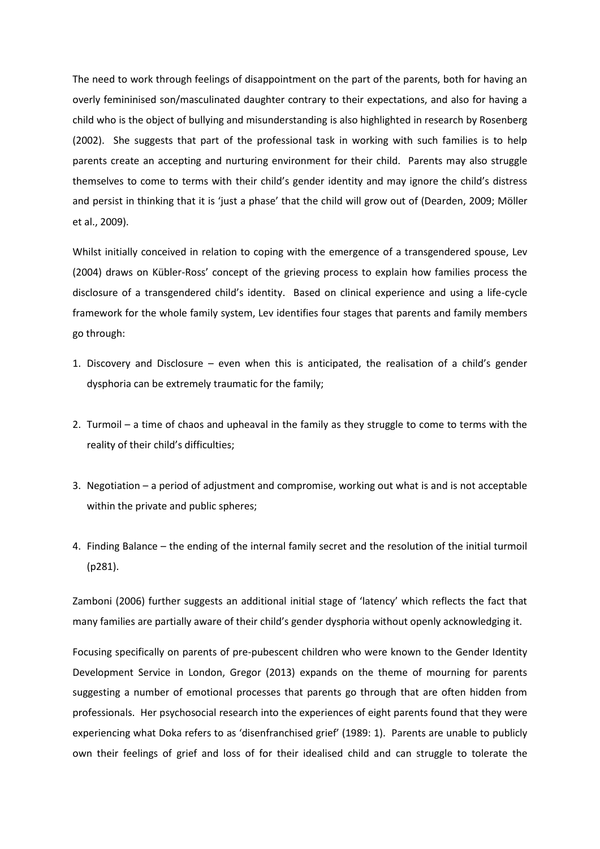The need to work through feelings of disappointment on the part of the parents, both for having an overly femininised son/masculinated daughter contrary to their expectations, and also for having a child who is the object of bullying and misunderstanding is also highlighted in research by Rosenberg (2002). She suggests that part of the professional task in working with such families is to help parents create an accepting and nurturing environment for their child. Parents may also struggle themselves to come to terms with their child's gender identity and may ignore the child's distress and persist in thinking that it is 'just a phase' that the child will grow out of (Dearden, 2009; Möller et al., 2009).

Whilst initially conceived in relation to coping with the emergence of a transgendered spouse, Lev (2004) draws on Kübler-Ross' concept of the grieving process to explain how families process the disclosure of a transgendered child's identity. Based on clinical experience and using a life-cycle framework for the whole family system, Lev identifies four stages that parents and family members go through:

- 1. Discovery and Disclosure even when this is anticipated, the realisation of a child's gender dysphoria can be extremely traumatic for the family;
- 2. Turmoil a time of chaos and upheaval in the family as they struggle to come to terms with the reality of their child's difficulties;
- 3. Negotiation a period of adjustment and compromise, working out what is and is not acceptable within the private and public spheres;
- 4. Finding Balance the ending of the internal family secret and the resolution of the initial turmoil (p281).

Zamboni (2006) further suggests an additional initial stage of 'latency' which reflects the fact that many families are partially aware of their child's gender dysphoria without openly acknowledging it.

Focusing specifically on parents of pre-pubescent children who were known to the Gender Identity Development Service in London, Gregor (2013) expands on the theme of mourning for parents suggesting a number of emotional processes that parents go through that are often hidden from professionals. Her psychosocial research into the experiences of eight parents found that they were experiencing what Doka refers to as 'disenfranchised grief' (1989: 1). Parents are unable to publicly own their feelings of grief and loss of for their idealised child and can struggle to tolerate the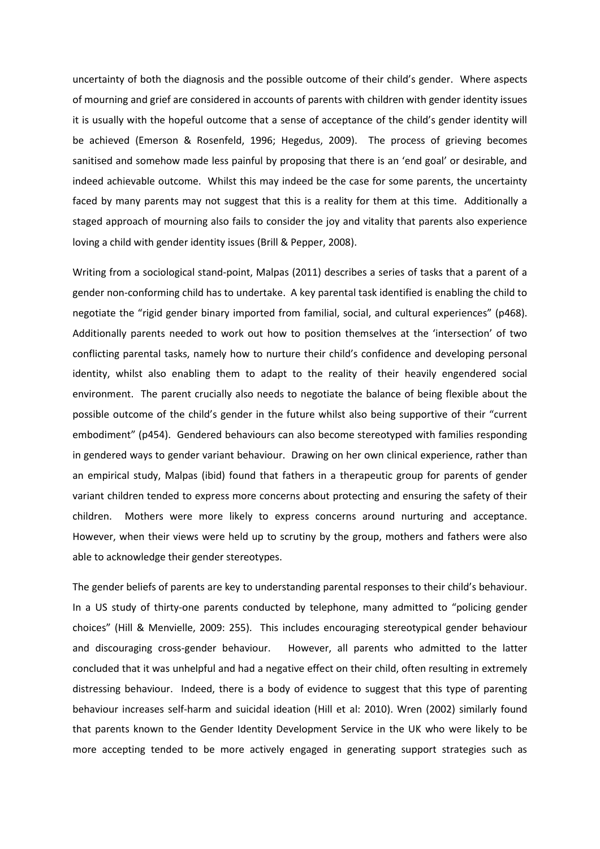uncertainty of both the diagnosis and the possible outcome of their child's gender. Where aspects of mourning and grief are considered in accounts of parents with children with gender identity issues it is usually with the hopeful outcome that a sense of acceptance of the child's gender identity will be achieved (Emerson & Rosenfeld, 1996; Hegedus, 2009). The process of grieving becomes sanitised and somehow made less painful by proposing that there is an 'end goal' or desirable, and indeed achievable outcome. Whilst this may indeed be the case for some parents, the uncertainty faced by many parents may not suggest that this is a reality for them at this time. Additionally a staged approach of mourning also fails to consider the joy and vitality that parents also experience loving a child with gender identity issues (Brill & Pepper, 2008).

Writing from a sociological stand-point, Malpas (2011) describes a series of tasks that a parent of a gender non-conforming child has to undertake. A key parental task identified is enabling the child to negotiate the "rigid gender binary imported from familial, social, and cultural experiences" (p468). Additionally parents needed to work out how to position themselves at the 'intersection' of two conflicting parental tasks, namely how to nurture their child's confidence and developing personal identity, whilst also enabling them to adapt to the reality of their heavily engendered social environment. The parent crucially also needs to negotiate the balance of being flexible about the possible outcome of the child's gender in the future whilst also being supportive of their "current embodiment" (p454). Gendered behaviours can also become stereotyped with families responding in gendered ways to gender variant behaviour. Drawing on her own clinical experience, rather than an empirical study, Malpas (ibid) found that fathers in a therapeutic group for parents of gender variant children tended to express more concerns about protecting and ensuring the safety of their children. Mothers were more likely to express concerns around nurturing and acceptance. However, when their views were held up to scrutiny by the group, mothers and fathers were also able to acknowledge their gender stereotypes.

The gender beliefs of parents are key to understanding parental responses to their child's behaviour. In a US study of thirty-one parents conducted by telephone, many admitted to "policing gender choices" (Hill & Menvielle, 2009: 255). This includes encouraging stereotypical gender behaviour and discouraging cross-gender behaviour. However, all parents who admitted to the latter concluded that it was unhelpful and had a negative effect on their child, often resulting in extremely distressing behaviour. Indeed, there is a body of evidence to suggest that this type of parenting behaviour increases self-harm and suicidal ideation (Hill et al: 2010). Wren (2002) similarly found that parents known to the Gender Identity Development Service in the UK who were likely to be more accepting tended to be more actively engaged in generating support strategies such as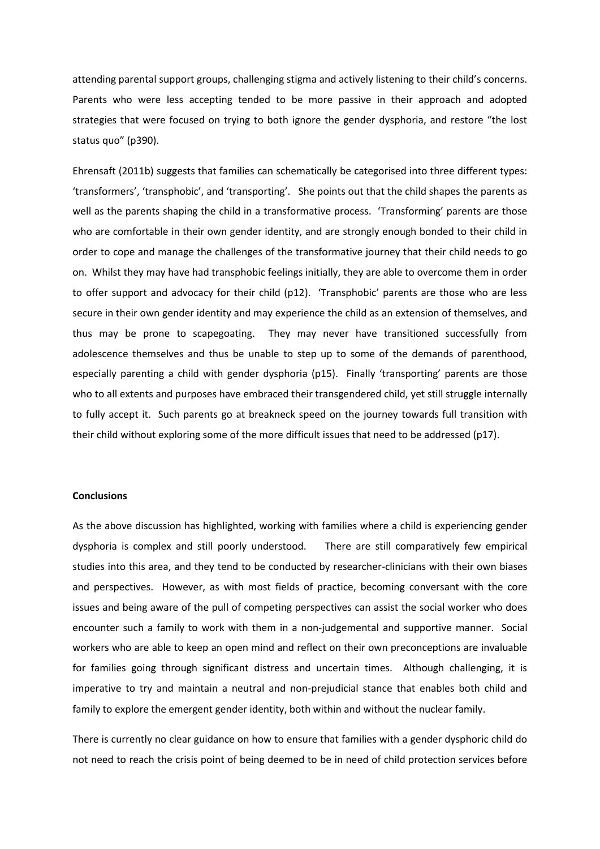attending parental support groups, challenging stigma and actively listening to their child's concerns. Parents who were less accepting tended to be more passive in their approach and adopted strategies that were focused on trying to both ignore the gender dysphoria, and restore "the lost status quo" (p390).

Ehrensaft (2011b) suggests that families can schematically be categorised into three different types: 'transformers', 'transphobic', and 'transporting'. She points out that the child shapes the parents as well as the parents shaping the child in a transformative process. 'Transforming' parents are those who are comfortable in their own gender identity, and are strongly enough bonded to their child in order to cope and manage the challenges of the transformative journey that their child needs to go on. Whilst they may have had transphobic feelings initially, they are able to overcome them in order to offer support and advocacy for their child (p12). 'Transphobic' parents are those who are less secure in their own gender identity and may experience the child as an extension of themselves, and thus may be prone to scapegoating. They may never have transitioned successfully from adolescence themselves and thus be unable to step up to some of the demands of parenthood, especially parenting a child with gender dysphoria (p15). Finally 'transporting' parents are those who to all extents and purposes have embraced their transgendered child, yet still struggle internally to fully accept it. Such parents go at breakneck speed on the journey towards full transition with their child without exploring some of the more difficult issues that need to be addressed (p17).

## **Conclusions**

As the above discussion has highlighted, working with families where a child is experiencing gender dysphoria is complex and still poorly understood. There are still comparatively few empirical studies into this area, and they tend to be conducted by researcher-clinicians with their own biases and perspectives. However, as with most fields of practice, becoming conversant with the core issues and being aware of the pull of competing perspectives can assist the social worker who does encounter such a family to work with them in a non-judgemental and supportive manner. Social workers who are able to keep an open mind and reflect on their own preconceptions are invaluable for families going through significant distress and uncertain times. Although challenging, it is imperative to try and maintain a neutral and non-prejudicial stance that enables both child and family to explore the emergent gender identity, both within and without the nuclear family.

There is currently no clear guidance on how to ensure that families with a gender dysphoric child do not need to reach the crisis point of being deemed to be in need of child protection services before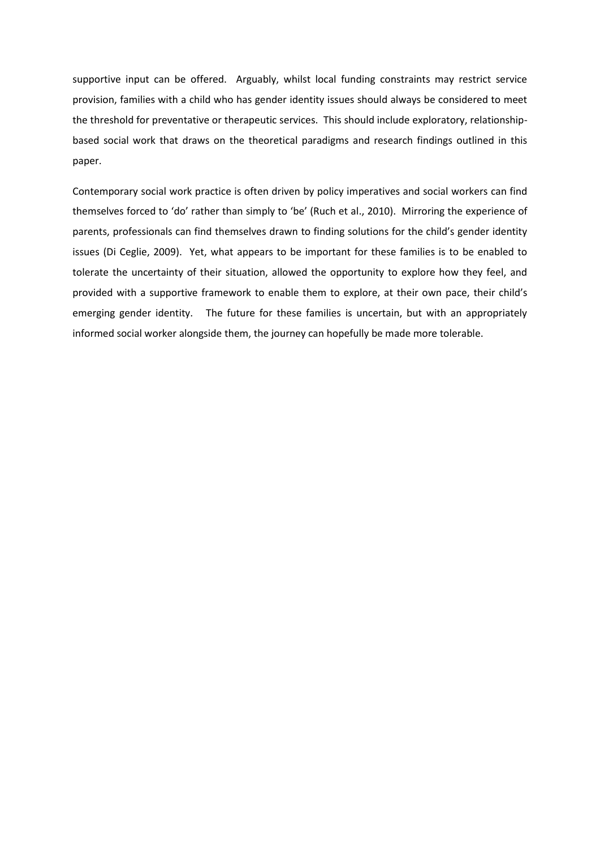supportive input can be offered. Arguably, whilst local funding constraints may restrict service provision, families with a child who has gender identity issues should always be considered to meet the threshold for preventative or therapeutic services. This should include exploratory, relationshipbased social work that draws on the theoretical paradigms and research findings outlined in this paper.

Contemporary social work practice is often driven by policy imperatives and social workers can find themselves forced to 'do' rather than simply to 'be' (Ruch et al., 2010). Mirroring the experience of parents, professionals can find themselves drawn to finding solutions for the child's gender identity issues (Di Ceglie, 2009). Yet, what appears to be important for these families is to be enabled to tolerate the uncertainty of their situation, allowed the opportunity to explore how they feel, and provided with a supportive framework to enable them to explore, at their own pace, their child's emerging gender identity. The future for these families is uncertain, but with an appropriately informed social worker alongside them, the journey can hopefully be made more tolerable.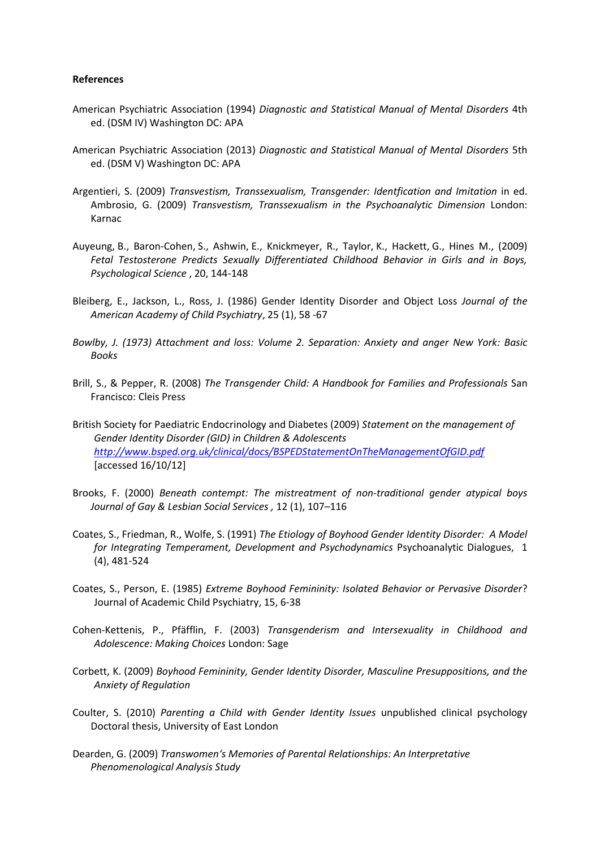## **References**

- American Psychiatric Association (1994) *Diagnostic and Statistical Manual of Mental Disorders* 4th ed. (DSM IV) Washington DC: APA
- American Psychiatric Association (2013) *Diagnostic and Statistical Manual of Mental Disorders* 5th ed. (DSM V) Washington DC: APA
- Argentieri, S. (2009) *Transvestism, Transsexualism, Transgender: Identfication and Imitation* in ed. Ambrosio, G. (2009) *Transvestism, Transsexualism in the Psychoanalytic Dimension* London: Karnac
- Auyeung, B., Baron-Cohen, S., Ashwin, E., Knickmeyer, R., Taylor, K., Hackett, G., Hines M., (2009) *Fetal Testosterone Predicts Sexually Differentiated Childhood Behavior in Girls and in Boys, Psychological Science* , 20, 144-148
- Bleiberg, E., Jackson, L., Ross, J. (1986) Gender Identity Disorder and Object Loss *Journal of the American Academy of Child Psychiatry*, 25 (1), 58 -67
- *Bowlby, J. (1973) Attachment and loss: Volume 2. Separation: Anxiety and anger New York: Basic Books*
- Brill, S., & Pepper, R. (2008) *The Transgender Child: A Handbook for Families and Professionals* San Francisco: Cleis Press
- British Society for Paediatric Endocrinology and Diabetes (2009) *Statement on the management of Gender Identity Disorder (GID) in Children & Adolescents <http://www.bsped.org.uk/clinical/docs/BSPEDStatementOnTheManagementOfGID.pdf>* [accessed 16/10/12]
- Brooks, F. (2000) *Beneath contempt: The mistreatment of non-traditional gender atypical boys Journal of Gay & Lesbian Social Services ,* 12 (1), 107–116
- Coates, S., Friedman, R., Wolfe, S. (1991) *The Etiology of Boyhood Gender Identity Disorder: A Model for Integrating Temperament, Development and Psychodynamics* Psychoanalytic Dialogues, 1 (4), 481-524
- Coates, S., Person, E. (1985) *Extreme Boyhood Femininity: Isolated Behavior or Pervasive Disorder*? Journal of Academic Child Psychiatry, 15, 6-38
- Cohen-Kettenis, P., Pfäfflin, F. (2003) *Transgenderism and Intersexuality in Childhood and Adolescence: Making Choices* London: Sage
- Corbett, K. (2009) *Boyhood Femininity, Gender Identity Disorder, Masculine Presuppositions, and the Anxiety of Regulation*
- Coulter, S. (2010) *Parenting a Child with Gender Identity Issues* unpublished clinical psychology Doctoral thesis, University of East London
- Dearden, G. (2009) *Transwomen's Memories of Parental Relationships: An Interpretative Phenomenological Analysis Study*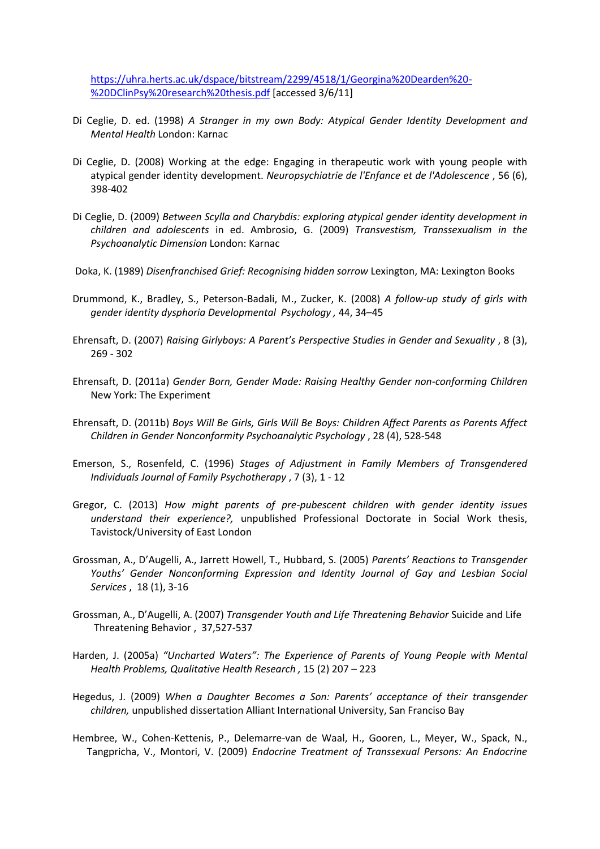[https://uhra.herts.ac.uk/dspace/bitstream/2299/4518/1/Georgina%20Dearden%20-](https://uhra.herts.ac.uk/dspace/bitstream/2299/4518/1/Georgina%20Dearden%20-%20DClinPsy%20research%20thesis.pdf) [%20DClinPsy%20research%20thesis.pdf](https://uhra.herts.ac.uk/dspace/bitstream/2299/4518/1/Georgina%20Dearden%20-%20DClinPsy%20research%20thesis.pdf) [accessed 3/6/11]

- Di Ceglie, D. ed. (1998) *A Stranger in my own Body: Atypical Gender Identity Development and Mental Health* London: Karnac
- Di Ceglie, D. (2008) [Working at the edge: Engaging in therapeutic work with young people with](http://repository.tavistockandportman.ac.uk/198/)  [atypical gender identity development.](http://repository.tavistockandportman.ac.uk/198/) *Neuropsychiatrie de l'Enfance et de l'Adolescence* , 56 (6), 398-402
- Di Ceglie, D. (2009) *Between Scylla and Charybdis: exploring atypical gender identity development in children and adolescents* in ed. Ambrosio, G. (2009) *Transvestism, Transsexualism in the Psychoanalytic Dimension* London: Karnac
- Doka, K. (1989) *Disenfranchised Grief: Recognising hidden sorrow* Lexington, MA: Lexington Books
- Drummond, K., Bradley, S., Peterson-Badali, M., Zucker, K. (2008) *A follow-up study of girls with gender identity dysphoria Developmental Psychology ,* 44, 34–45
- Ehrensaft, D. (2007) *Raising Girlyboys: A Parent's Perspective Studies in Gender and Sexuality* , 8 (3), 269 - 302
- Ehrensaft, D. (2011a) *Gender Born, Gender Made: Raising Healthy Gender non-conforming Children* New York: The Experiment
- Ehrensaft, D. (2011b) *Boys Will Be Girls, Girls Will Be Boys: Children Affect Parents as Parents Affect Children in Gender Nonconformity Psychoanalytic Psychology* , 28 (4), 528-548
- Emerson, S., Rosenfeld, C. (1996) *Stages of Adjustment in Family Members of Transgendered Individuals Journal of Family Psychotherapy* , 7 (3), 1 - 12
- Gregor, C. (2013) *How might parents of pre-pubescent children with gender identity issues understand their experience?,* unpublished Professional Doctorate in Social Work thesis, Tavistock/University of East London
- Grossman, A., D'Augelli, A., Jarrett Howell, T., Hubbard, S. (2005) *Parents' Reactions to Transgender Youths' Gender Nonconforming Expression and Identity Journal of Gay and Lesbian Social Services* , 18 (1), 3-16
- Grossman, A., D'Augelli, A. (2007) *Transgender Youth and Life Threatening Behavior* Suicide and Life Threatening Behavior , 37,527-537
- Harden, J. (2005a) *"Uncharted Waters": The Experience of Parents of Young People with Mental Health Problems, Qualitative Health Research ,* 15 (2) 207 – 223
- Hegedus, J. (2009) *When a Daughter Becomes a Son: Parents' acceptance of their transgender children,* unpublished dissertation Alliant International University, San Franciso Bay
- Hembree, W., Cohen-Kettenis, P., Delemarre-van de Waal, H., Gooren, L., Meyer, W., Spack, N., Tangpricha, V., Montori, V. (2009) *Endocrine Treatment of Transsexual Persons: An Endocrine*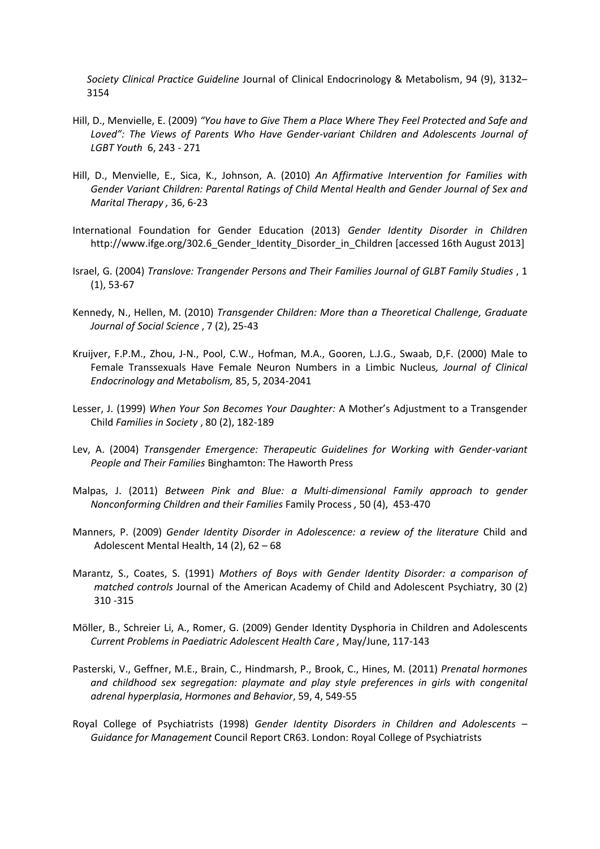*Society Clinical Practice Guideline* Journal of Clinical Endocrinology & Metabolism, 94 (9), 3132– 3154

- Hill, D., Menvielle, E. (2009) *"You have to Give Them a Place Where They Feel Protected and Safe and Loved": The Views of Parents Who Have Gender-variant Children and Adolescents Journal of LGBT Youth* 6, 243 - 271
- Hill, D., Menvielle, E., Sica, K., Johnson, A. (2010) *An Affirmative Intervention for Families with Gender Variant Children: Parental Ratings of Child Mental Health and Gender Journal of Sex and Marital Therapy ,* 36, 6-23
- International Foundation for Gender Education (2013) *Gender Identity Disorder in Children* http://www.ifge.org/302.6 Gender Identity Disorder in Children [accessed 16th August 2013]
- Israel, G. (2004) *Translove: Trangender Persons and Their Families Journal of GLBT Family Studies* , 1 (1), 53-67
- Kennedy, N., Hellen, M. (2010) *Transgender Children: More than a Theoretical Challenge, Graduate Journal of Social Science* , 7 (2), 25-43
- Kruijver, F.P.M., Zhou, J-N., Pool, C.W., Hofman, M.A., Gooren, L.J.G., Swaab, D,F. (2000) Male to Female Transsexuals Have Female Neuron Numbers in a Limbic Nucleus*, Journal of Clinical Endocrinology and Metabolism,* 85, 5, 2034-2041
- Lesser, J. (1999) *When Your Son Becomes Your Daughter:* A Mother's Adjustment to a Transgender Child *Families in Society* , 80 (2), 182-189
- Lev, A. (2004) *Transgender Emergence: Therapeutic Guidelines for Working with Gender-variant People and Their Families* Binghamton: The Haworth Press
- Malpas, J. (2011) *Between Pink and Blue: a Multi-dimensional Family approach to gender Nonconforming Children and their Families* Family Process *,* 50 (4), 453-470
- Manners, P. (2009) *Gender Identity Disorder in Adolescence: a review of the literature* Child and Adolescent Mental Health, 14 (2), 62 – 68
- Marantz, S., Coates, S. (1991) *Mothers of Boys with Gender Identity Disorder: a comparison of matched controls* Journal of the American Academy of Child and Adolescent Psychiatry, 30 (2) 310 -315
- Möller, B., Schreier Li, A., Romer, G. (2009) Gender Identity Dysphoria in Children and Adolescents *Current Problems in Paediatric Adolescent Health Care ,* May/June, 117-143
- Pasterski, V., Geffner, M.E., Brain, C., Hindmarsh, P., Brook, C., Hines, M. (2011) *Prenatal hormones and childhood sex segregation: playmate and play style preferences in girls with congenital adrenal hyperplasia*, *Hormones and Behavior*, 59, 4, 549-55
- Royal College of Psychiatrists (1998) *Gender Identity Disorders in Children and Adolescents – Guidance for Management* Council Report CR63. London: Royal College of Psychiatrists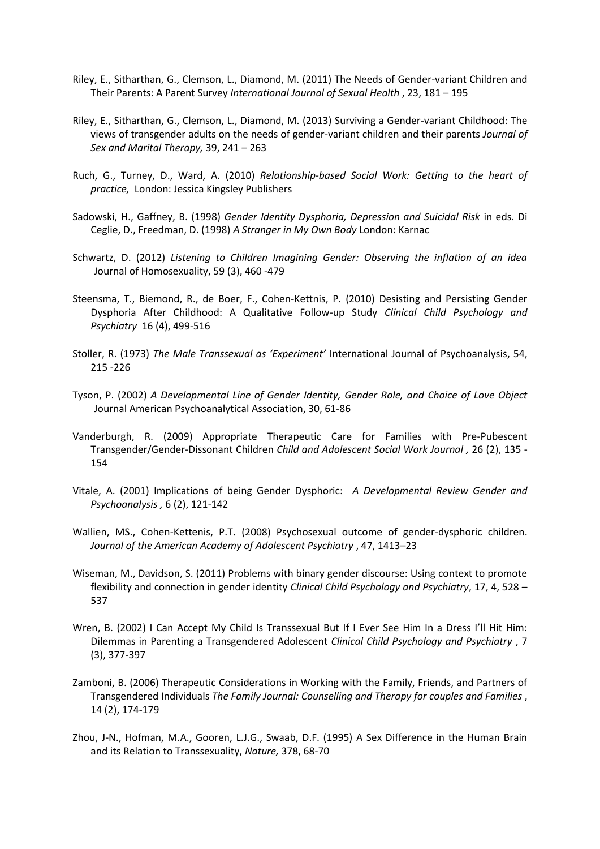- Riley, E., Sitharthan, G., Clemson, L., Diamond, M. (2011) The Needs of Gender-variant Children and Their Parents: A Parent Survey *International Journal of Sexual Health* , 23, 181 – 195
- Riley, E., Sitharthan, G., Clemson, L., Diamond, M. (2013) Surviving a Gender-variant Childhood: The views of transgender adults on the needs of gender-variant children and their parents *Journal of Sex and Marital Therapy,* 39, 241 – 263
- Ruch, G., Turney, D., Ward, A. (2010) *Relationship-based Social Work: Getting to the heart of practice,* London: Jessica Kingsley Publishers
- Sadowski, H., Gaffney, B. (1998) *Gender Identity Dysphoria, Depression and Suicidal Risk* in eds. Di Ceglie, D., Freedman, D. (1998) *A Stranger in My Own Body* London: Karnac
- Schwartz, D. (2012) *Listening to Children Imagining Gender: Observing the inflation of an idea* Journal of Homosexuality, 59 (3), 460 -479
- Steensma, T., Biemond, R., de Boer, F., Cohen-Kettnis, P. (2010) Desisting and Persisting Gender Dysphoria After Childhood: A Qualitative Follow-up Study *Clinical Child Psychology and Psychiatry* 16 (4), 499-516
- Stoller, R. (1973) *The Male Transsexual as 'Experiment'* International Journal of Psychoanalysis, 54, 215 -226
- Tyson, P. (2002) *A Developmental Line of Gender Identity, Gender Role, and Choice of Love Object* Journal American Psychoanalytical Association, 30, 61-86
- Vanderburgh, R. (2009) [Appropriate Therapeutic Care for Families with Pre-Pubescent](http://www.springerlink.com/content/5141182h05297437/)  [Transgender/Gender-Dissonant Children](http://www.springerlink.com/content/5141182h05297437/) *Child and Adolescent Social Work Journal ,* 26 (2), 135 - 154
- Vitale, A. (2001) Implications of being Gender Dysphoric: *A Developmental Review Gender and Psychoanalysis ,* 6 (2), 121-142
- Wallien, MS., Cohen-Kettenis, P.T**.** (2008) Psychosexual outcome of gender-dysphoric children. *Journal of the American Academy of Adolescent Psychiatry* , 47, 1413–23
- Wiseman, M., Davidson, S. (2011) Problems with binary gender discourse: Using context to promote flexibility and connection in gender identity *Clinical Child Psychology and Psychiatry*, 17, 4, 528 – 537
- Wren, B. (2002) I Can Accept My Child Is Transsexual But If I Ever See Him In a Dress I'll Hit Him: Dilemmas in Parenting a Transgendered Adolescent *Clinical Child Psychology and Psychiatry* , 7 (3), 377-397
- Zamboni, B. (2006) Therapeutic Considerations in Working with the Family, Friends, and Partners of Transgendered Individuals *The Family Journal: Counselling and Therapy for couples and Families* , 14 (2), 174-179
- Zhou, J-N., Hofman, M.A., Gooren, L.J.G., Swaab, D.F. (1995) A Sex Difference in the Human Brain and its Relation to Transsexuality, *Nature,* 378, 68-70